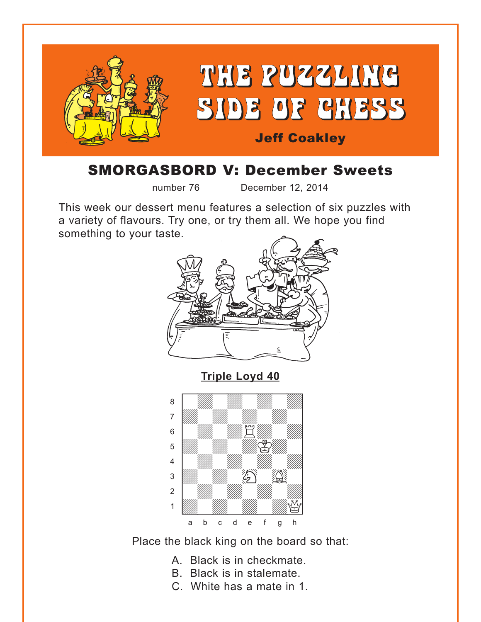<span id="page-0-0"></span>

# SMORGASBORD V: December Sweets

number 76 December 12, 2014

This week our dessert menu features a selection of six puzzles with a variety of flavours. Try one, or try them all. We hope you find something to your taste.



**[Triple Loyd 40](#page-4-0)**



Place the black king on the board so that:

- A. Black is in checkmate.
- B. Black is in stalemate.
- C. White has a mate in 1.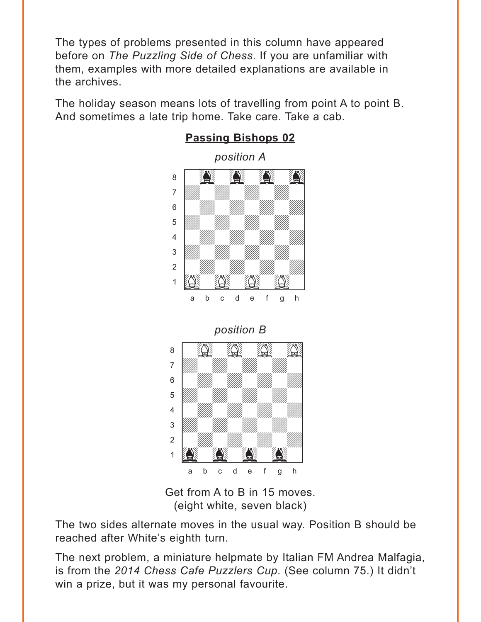<span id="page-1-0"></span>The types of problems presented in this column have appeared before on *The Puzzling Side of Chess*. If you are unfamiliar with them, examples with more detailed explanations are available in the archives.

The holiday season means lots of travelling from point A to point B. And sometimes a late trip home. Take care. Take a cab.



### **[Passing Bishops 02](#page-4-0)**





Get from A to B in 15 moves. (eight white, seven black)

The two sides alternate moves in the usual way. Position B should be reached after White's eighth turn.

The next problem, a miniature helpmate by Italian FM Andrea Malfagia, is from the *2014 Chess Cafe Puzzlers Cup*. (See column 75.) It didn't win a prize, but it was my personal favourite.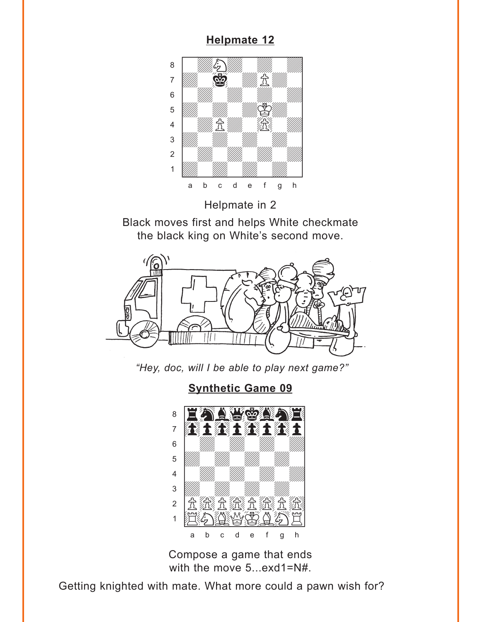## <span id="page-2-0"></span> $\frac{1 \times p \cdot m \times v \cdot m}{\sqrt{2}}$  $\begin{picture}(40,40) \put(0,0){\line(1,0){10}} \put(15,0){\line(1,0){10}} \put(15,0){\line(1,0){10}} \put(15,0){\line(1,0){10}} \put(15,0){\line(1,0){10}} \put(15,0){\line(1,0){10}} \put(15,0){\line(1,0){10}} \put(15,0){\line(1,0){10}} \put(15,0){\line(1,0){10}} \put(15,0){\line(1,0){10}} \put(15,0){\line(1,0){10}} \put(15,0){\line(1$ <sup>7</sup> William St  $\begin{bmatrix} 6 & 1 \end{bmatrix}$  with  $\begin{bmatrix} 1 & 1 \end{bmatrix}$  with  $\begin{bmatrix} 1 & 1 \end{bmatrix}$  $\frac{1}{\sqrt{2}}$ ÝwdPdw)wd] 3 William William William Company and the Company of the Company of the Company of the Company of the Company of The Company of the Company of the Company of the Company of the Company of the Company of the Company of the 2 | *William William William William 1* Údwdwdwdw] a b c d e f g h

Helpmate in 2

Black moves first and helps White checkmate the black king on White's second move.



*"Hey, doc, will I be able to play next game?"*

**[Synthetic Game 09](#page-5-0)**



Compose a game that ends with the move 5...exd1=N#.

Getting knighted with mate. What more could a pawn wish for?

## **[Helpmate 12](#page-5-0)**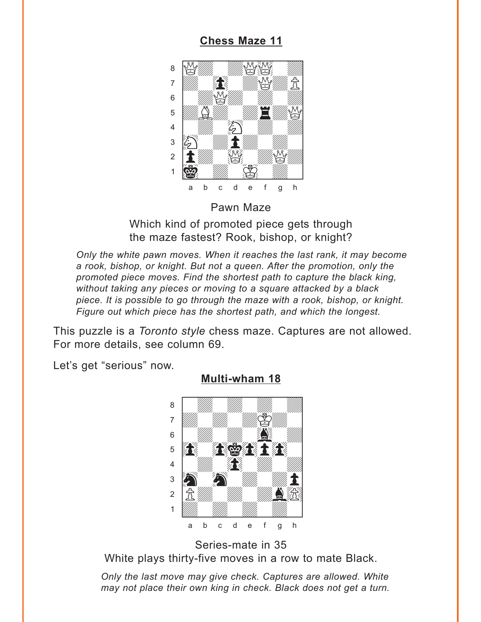<span id="page-3-0"></span>

**[Chess Maze 11](#page-6-0)** 

Pawn Maze

Which kind of promoted piece gets through the maze fastest? Rook, bishop, or knight?

*Only the white pawn moves. When it reaches the last rank, it may become a rook, bishop, or knight. But not a queen. After the promotion, only the promoted piece moves. Find the shortest path to capture the black king, without taking any pieces or moving to a square attacked by a black piece. It is possible to go through the maze with a rook, bishop, or knight. Figure out which piece has the shortest path, and which the longest.* 

This puzzle is a *Toronto style* chess maze. Captures are not allowed. For more details, see column 69.

Let's get "serious" now.



**[Multi-wham 18](#page-7-0)**

Series-mate in 35 White plays thirty-five moves in a row to mate Black.

*Only the last move may give check. Captures are allowed. White may not place their own king in check. Black does not get a turn.*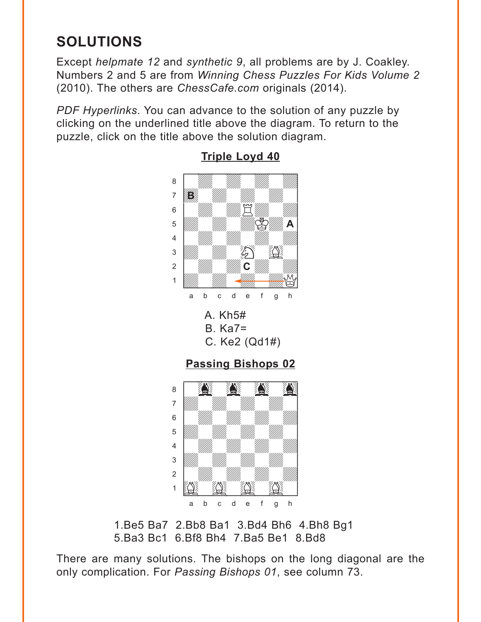# <span id="page-4-0"></span>**SOLUTIONS**

Except *helpmate 12* and *synthetic 9*, all problems are by J. Coakley. Numbers 2 and 5 are from *Winning Chess Puzzles For Kids Volume 2* (2010). The others are *ChessCafe.com* originals (2014).

*PDF Hyperlinks*. You can advance to the solution of any puzzle by clicking on the underlined title above the diagram. To return to the puzzle, click on the title above the solution diagram.



### **[Triple Loyd 40](#page-0-0)**

1.Be5 Ba7 2.Bb8 Ba1 3.Bd4 Bh6 4.Bh8 Bg1 5.Ba3 Bc1 6.Bf8 Bh4 7.Ba5 Be1 8.Bd8

There are many solutions. The bishops on the long diagonal are the only complication. For *Passing Bishops 01*, see column 73.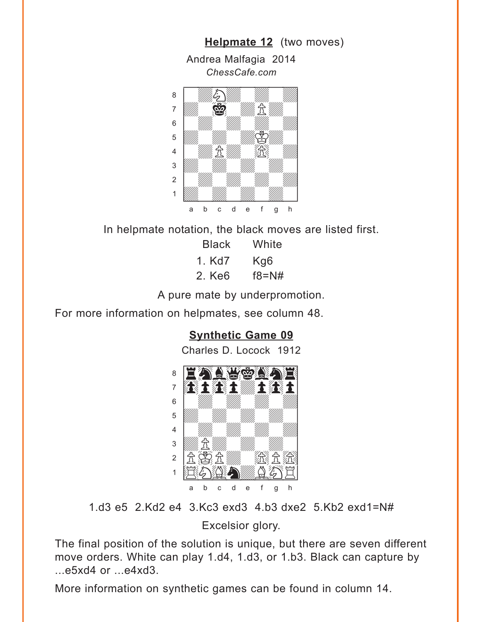<span id="page-5-0"></span>

In helpmate notation, the black moves are listed first.

| <b>Black</b> | White     |
|--------------|-----------|
| 1. Kd7       | Kg6       |
| 2. Ke6       | $f8 = N#$ |

A pure mate by underpromotion.

For more information on helpmates, see column 48.

### **[Synthetic Game 09](#page-2-0)**

Charles D. Locock 1912



1.d3 e5 2.Kd2 e4 3.Kc3 exd3 4.b3 dxe2 5.Kb2 exd1=N#

Excelsior glory.

The final position of the solution is unique, but there are seven different move orders. White can play 1.d4, 1.d3, or 1.b3. Black can capture by ...e5xd4 or ...e4xd3.

More information on synthetic games can be found in column 14.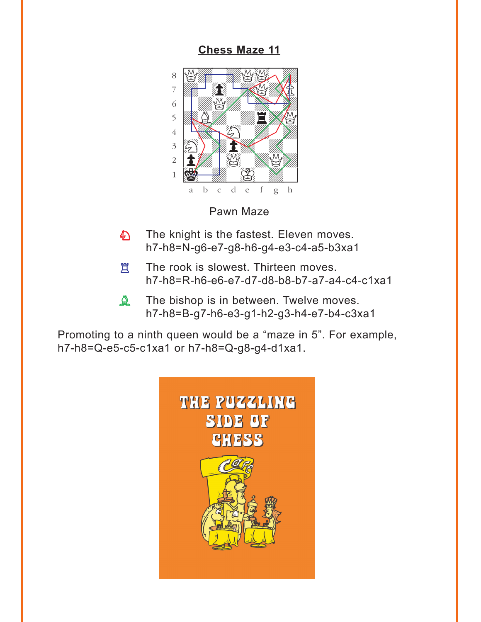<span id="page-6-0"></span>**[Chess Maze 11](#page-3-0)**



Pawn Maze

- The knight is the fastest. Eleven moves. h7-h8=N-g6-e7-g8-h6-g4-e3-c4-a5-b3xa1 あ
- The rook is slowest. Thirteen moves. h7-h8=R-h6-e6-e7-d7-d8-b8-b7-a7-a4-c4-c1xa1 **買**
- The bishop is in between. Twelve moves. h7-h8=B-g7-h6-e3-g1-h2-g3-h4-e7-b4-c3xa1  $\Delta$

Promoting to a ninth queen would be a "maze in 5". For example, h7-h8=Q-e5-c5-c1xa1 or h7-h8=Q-g8-g4-d1xa1.

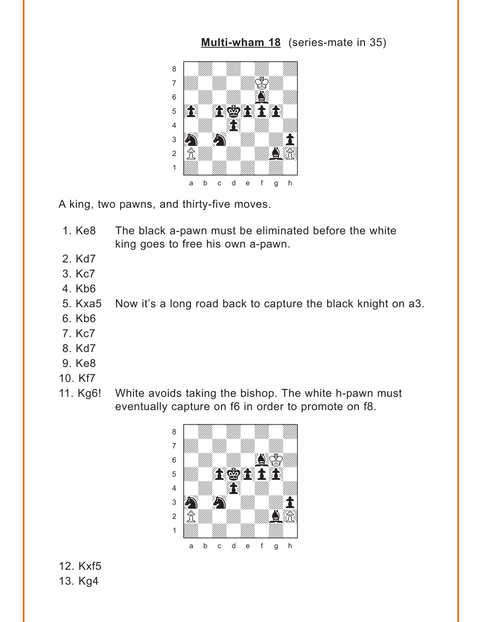### **[Multi-wham 18](#page-3-0)** (series-mate in 35)

<span id="page-7-0"></span>

A king, two pawns, and thirty-five moves.

- 1. Ke8 The black a-pawn must be eliminated before the white king goes to free his own a-pawn.
- 2. Kd7
- 3. Kc7
- 4. Kb6
- 5. Kxa5 Now it's a long road back to capture the black knight on a3.
- 6. Kb6
- 7. Kc7
- 8. Kd7
- 9. Ke8
- 10. Kf7
- 11. Kg6! White avoids taking the bishop. The white h-pawn must eventually capture on f6 in order to promote on f8.



12. Kxf5 13. Kg4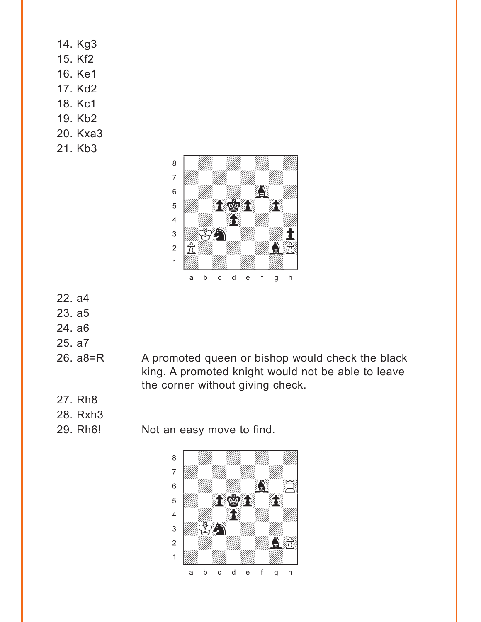- 14. Kg3 15. Kf2 16. Ke1 17. Kd2 18. Kc1 19. Kb2 20. Kxa3
- 21. Kb3



- 22. a4
- 23. a5
- 24. a6
- 25. a7
- 

26. a8=R A promoted queen or bishop would check the black king. A promoted knight would not be able to leave the corner without giving check.

- 27. Rh8
- 28. Rxh3
- 

29. Rh6! Not an easy move to find.